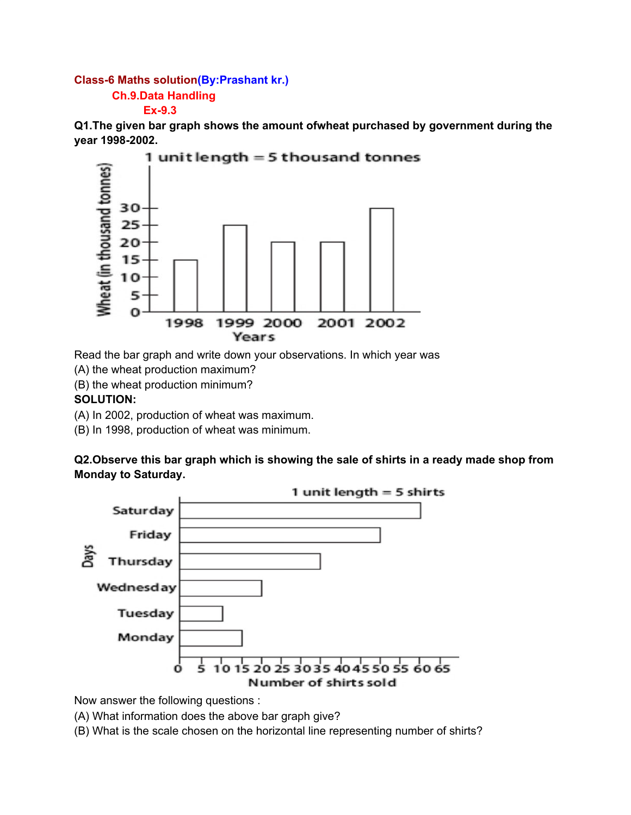## **Class-6 Maths solution(By:Prashant kr.) Ch.9.Data Handling Ex-9.3**

**Q1.The given bar graph shows the amount ofwheat purchased by government during the year 1998-2002.**



Read the bar graph and write down your observations. In which year was

(A) the wheat production maximum?

(B) the wheat production minimum?

## **SOLUTION:**

(A) In 2002, production of wheat was maximum.

(B) In 1998, production of wheat was minimum.

**Q2.Observe this bar graph which is showing the sale of shirts in a ready made shop from Monday to Saturday.**



Now answer the following questions :

(A) What information does the above bar graph give?

(B) What is the scale chosen on the horizontal line representing number of shirts?